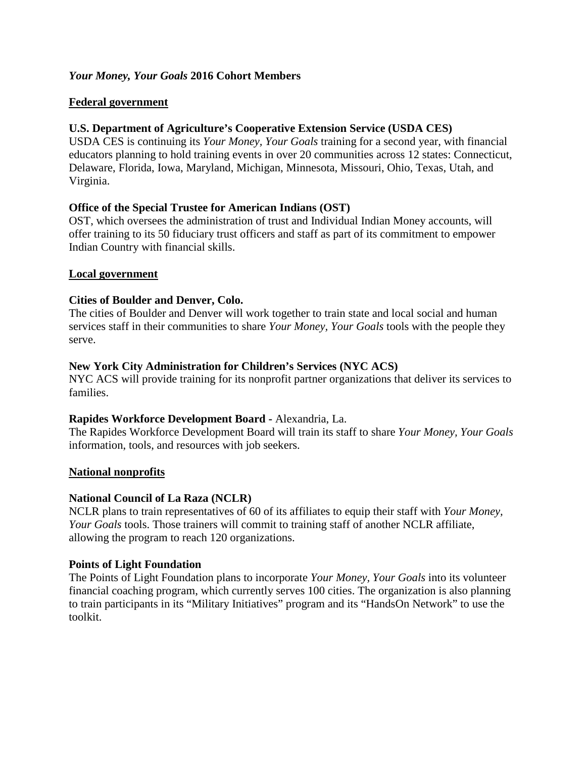# *Your Money, Your Goals* **2016 Cohort Members**

## **Federal government**

# **U.S. Department of Agriculture's Cooperative Extension Service (USDA CES)**

USDA CES is continuing its *Your Money, Your Goals* training for a second year, with financial educators planning to hold training events in over 20 communities across 12 states: Connecticut, Delaware, Florida, Iowa, Maryland, Michigan, Minnesota, Missouri, Ohio, Texas, Utah, and Virginia.

## **Office of the Special Trustee for American Indians (OST)**

OST, which oversees the administration of trust and Individual Indian Money accounts, will offer training to its 50 fiduciary trust officers and staff as part of its commitment to empower Indian Country with financial skills.

## **Local government**

## **Cities of Boulder and Denver, Colo.**

The cities of Boulder and Denver will work together to train state and local social and human services staff in their communities to share *Your Money, Your Goals* tools with the people they serve.

## **New York City Administration for Children's Services (NYC ACS)**

NYC ACS will provide training for its nonprofit partner organizations that deliver its services to families.

### **Rapides Workforce Development Board -** Alexandria, La.

The Rapides Workforce Development Board will train its staff to share *Your Money, Your Goals* information, tools, and resources with job seekers.

### **National nonprofits**

### **National Council of La Raza (NCLR)**

NCLR plans to train representatives of 60 of its affiliates to equip their staff with *Your Money, Your Goals* tools. Those trainers will commit to training staff of another NCLR affiliate, allowing the program to reach 120 organizations.

### **Points of Light Foundation**

The Points of Light Foundation plans to incorporate *Your Money, Your Goals* into its volunteer financial coaching program, which currently serves 100 cities. The organization is also planning to train participants in its "Military Initiatives" program and its "HandsOn Network" to use the toolkit.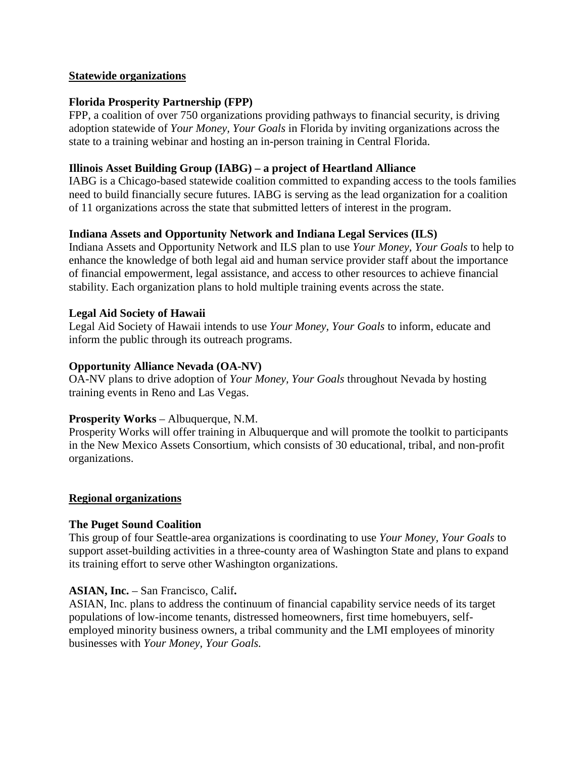### **Statewide organizations**

## **Florida Prosperity Partnership (FPP)**

FPP, a coalition of over 750 organizations providing pathways to financial security, is driving adoption statewide of *Your Money, Your Goals* in Florida by inviting organizations across the state to a training webinar and hosting an in-person training in Central Florida.

## **Illinois Asset Building Group (IABG) – a project of Heartland Alliance**

IABG is a Chicago-based statewide coalition committed to expanding access to the tools families need to build financially secure futures. IABG is serving as the lead organization for a coalition of 11 organizations across the state that submitted letters of interest in the program.

# **Indiana Assets and Opportunity Network and Indiana Legal Services (ILS)**

Indiana Assets and Opportunity Network and ILS plan to use *Your Money, Your Goals* to help to enhance the knowledge of both legal aid and human service provider staff about the importance of financial empowerment, legal assistance, and access to other resources to achieve financial stability. Each organization plans to hold multiple training events across the state.

## **Legal Aid Society of Hawaii**

Legal Aid Society of Hawaii intends to use *Your Money, Your Goals* to inform, educate and inform the public through its outreach programs.

## **Opportunity Alliance Nevada (OA-NV)**

OA-NV plans to drive adoption of *Your Money, Your Goals* throughout Nevada by hosting training events in Reno and Las Vegas.

### **Prosperity Works** – Albuquerque, N.M.

Prosperity Works will offer training in Albuquerque and will promote the toolkit to participants in the New Mexico Assets Consortium, which consists of 30 educational, tribal, and non-profit organizations.

### **Regional organizations**

# **The Puget Sound Coalition**

This group of four Seattle-area organizations is coordinating to use *Your Money, Your Goals* to support asset-building activities in a three-county area of Washington State and plans to expand its training effort to serve other Washington organizations.

# **ASIAN, Inc.** – San Francisco, Calif**.**

ASIAN, Inc. plans to address the continuum of financial capability service needs of its target populations of low-income tenants, distressed homeowners, first time homebuyers, selfemployed minority business owners, a tribal community and the LMI employees of minority businesses with *Your Money, Your Goals.*